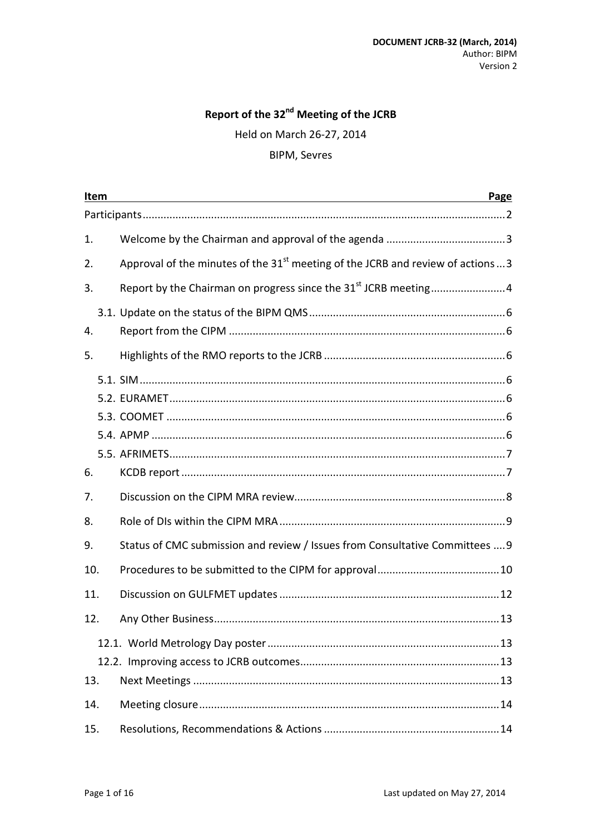# Report of the 32<sup>nd</sup> Meeting of the JCRB

Held on March 26-27, 2014

#### **BIPM, Sevres**

| Item<br>Page |  |                                                                                    |
|--------------|--|------------------------------------------------------------------------------------|
|              |  |                                                                                    |
| 1.           |  |                                                                                    |
| 2.           |  | Approval of the minutes of the $31st$ meeting of the JCRB and review of actions  3 |
| 3.           |  | Report by the Chairman on progress since the 31 <sup>st</sup> JCRB meeting4        |
| 4.           |  |                                                                                    |
| 5.           |  |                                                                                    |
|              |  |                                                                                    |
| 6.           |  |                                                                                    |
| 7.           |  |                                                                                    |
| 8.           |  |                                                                                    |
| 9.           |  | Status of CMC submission and review / Issues from Consultative Committees  9       |
| 10.          |  |                                                                                    |
| 11.          |  |                                                                                    |
| 12.          |  |                                                                                    |
| 13.          |  |                                                                                    |
| 14.          |  |                                                                                    |
| 15.          |  |                                                                                    |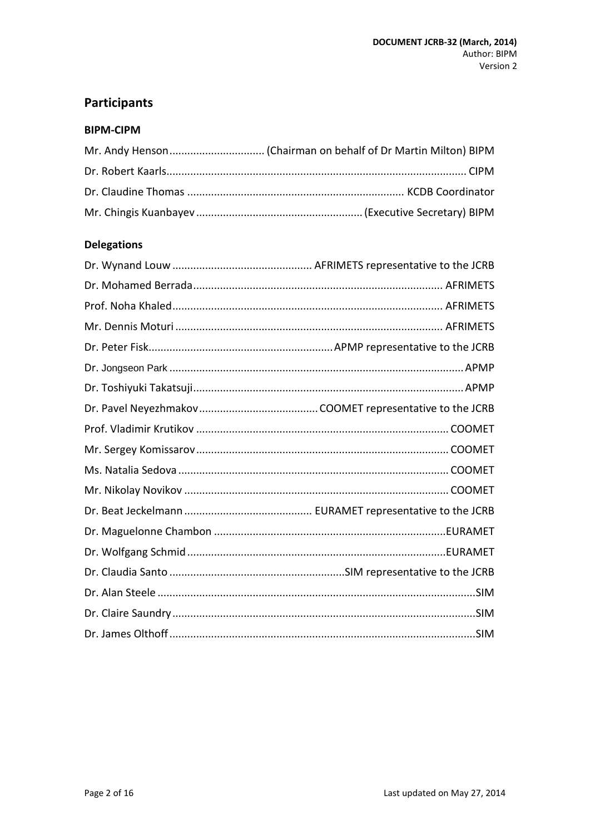## <span id="page-1-0"></span>**Participants**

#### **BIPM-CIPM**

## **Delegations**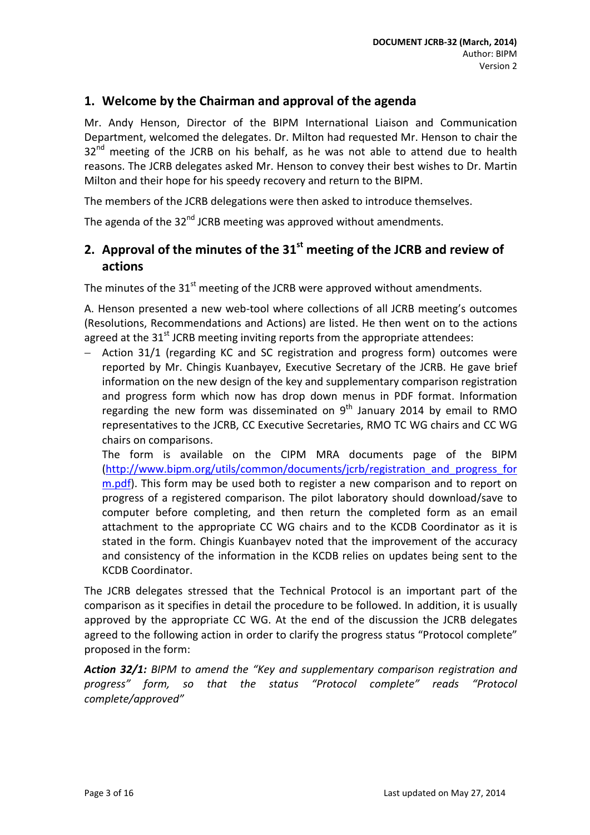### <span id="page-2-0"></span>**1. Welcome by the Chairman and approval of the agenda**

Mr. Andy Henson, Director of the BIPM International Liaison and Communication Department, welcomed the delegates. Dr. Milton had requested Mr. Henson to chair the  $32<sup>nd</sup>$  meeting of the JCRB on his behalf, as he was not able to attend due to health reasons. The JCRB delegates asked Mr. Henson to convey their best wishes to Dr. Martin Milton and their hope for his speedy recovery and return to the BIPM.

The members of the JCRB delegations were then asked to introduce themselves.

The agenda of the 32<sup>nd</sup> JCRB meeting was approved without amendments.

## <span id="page-2-1"></span>**2. Approval of the minutes of the 31st meeting of the JCRB and review of actions**

The minutes of the  $31<sup>st</sup>$  meeting of the JCRB were approved without amendments.

A. Henson presented a new web-tool where collections of all JCRB meeting's outcomes (Resolutions, Recommendations and Actions) are listed. He then went on to the actions agreed at the  $31<sup>st</sup>$  JCRB meeting inviting reports from the appropriate attendees:

Action 31/1 (regarding KC and SC registration and progress form) outcomes were reported by Mr. Chingis Kuanbayev, Executive Secretary of the JCRB. He gave brief information on the new design of the key and supplementary comparison registration and progress form which now has drop down menus in PDF format. Information regarding the new form was disseminated on  $9<sup>th</sup>$  January 2014 by email to RMO representatives to the JCRB, CC Executive Secretaries, RMO TC WG chairs and CC WG chairs on comparisons.

The form is available on the CIPM MRA documents page of the BIPM [\(http://www.bipm.org/utils/common/documents/jcrb/registration\\_and\\_progress\\_for](http://www.bipm.org/utils/common/documents/jcrb/registration_and_progress_form.pdf) [m.pdf\)](http://www.bipm.org/utils/common/documents/jcrb/registration_and_progress_form.pdf). This form may be used both to register a new comparison and to report on progress of a registered comparison. The pilot laboratory should download/save to computer before completing, and then return the completed form as an email attachment to the appropriate CC WG chairs and to the KCDB Coordinator as it is stated in the form. Chingis Kuanbayev noted that the improvement of the accuracy and consistency of the information in the KCDB relies on updates being sent to the KCDB Coordinator.

The JCRB delegates stressed that the Technical Protocol is an important part of the comparison as it specifies in detail the procedure to be followed. In addition, it is usually approved by the appropriate CC WG. At the end of the discussion the JCRB delegates agreed to the following action in order to clarify the progress status "Protocol complete" proposed in the form:

*Action 32/1: BIPM to amend the "Key and supplementary comparison registration and progress" form, so that the status "Protocol complete" reads "Protocol complete/approved"*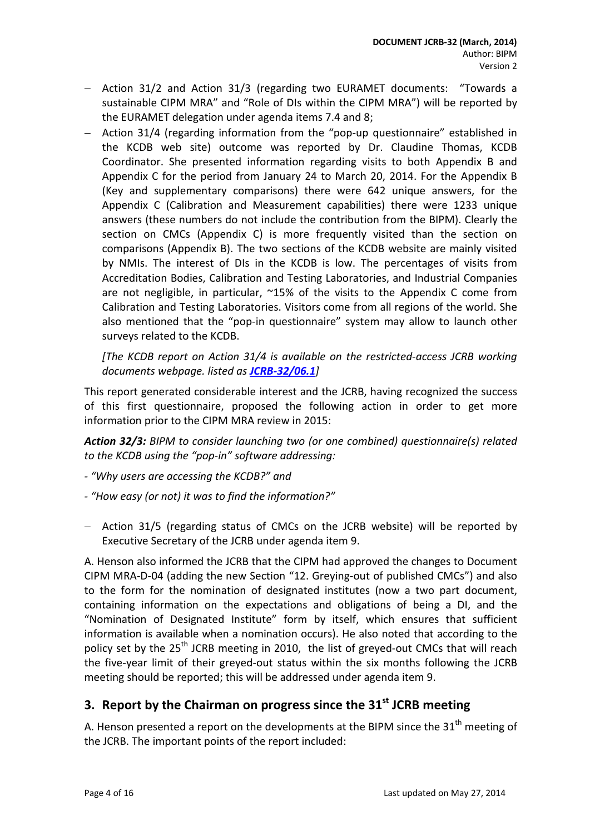- − Action 31/2 and Action 31/3 (regarding two EURAMET documents: "Towards a sustainable CIPM MRA" and "Role of DIs within the CIPM MRA") will be reported by the EURAMET delegation under agenda items 7.4 and 8;
- − Action 31/4 (regarding information from the "pop-up questionnaire" established in the KCDB web site) outcome was reported by Dr. Claudine Thomas, KCDB Coordinator. She presented information regarding visits to both Appendix B and Appendix C for the period from January 24 to March 20, 2014. For the Appendix B (Key and supplementary comparisons) there were 642 unique answers, for the Appendix C (Calibration and Measurement capabilities) there were 1233 unique answers (these numbers do not include the contribution from the BIPM). Clearly the section on CMCs (Appendix C) is more frequently visited than the section on comparisons (Appendix B). The two sections of the KCDB website are mainly visited by NMIs. The interest of DIs in the KCDB is low. The percentages of visits from Accreditation Bodies, Calibration and Testing Laboratories, and Industrial Companies are not negligible, in particular,  $\approx$ 15% of the visits to the Appendix C come from Calibration and Testing Laboratories. Visitors come from all regions of the world. She also mentioned that the "pop-in questionnaire" system may allow to launch other surveys related to the KCDB.

*[The KCDB report on Action 31/4 is available on the restricted-access JCRB working documents webpage. listed as [JCRB-32/06.1](http://www.bipm.org/cc/JCRB/Restricted/32/32-06.1_KCDB_Report_to_32nd_JCRB_Action_31_4.pdf)]*

This report generated considerable interest and the JCRB, having recognized the success of this first questionnaire, proposed the following action in order to get more information prior to the CIPM MRA review in 2015:

*Action 32/3: BIPM to consider launching two (or one combined) questionnaire(s) related to the KCDB using the "pop-in" software addressing:*

- *- "Why users are accessing the KCDB?" and*
- *- "How easy (or not) it was to find the information?"*
- − Action 31/5 (regarding status of CMCs on the JCRB website) will be reported by Executive Secretary of the JCRB under agenda item 9.

A. Henson also informed the JCRB that the CIPM had approved the changes to Document CIPM MRA-D-04 (adding the new Section "12. Greying-out of published CMCs") and also to the form for the nomination of designated institutes (now a two part document, containing information on the expectations and obligations of being a DI, and the "Nomination of Designated Institute" form by itself, which ensures that sufficient information is available when a nomination occurs). He also noted that according to the policy set by the  $25<sup>th</sup>$  JCRB meeting in 2010, the list of greyed-out CMCs that will reach the five-year limit of their greyed-out status within the six months following the JCRB meeting should be reported; this will be addressed under agenda item 9.

## <span id="page-3-0"></span>**3. Report by the Chairman on progress since the 31st JCRB meeting**

A. Henson presented a report on the developments at the BIPM since the  $31<sup>th</sup>$  meeting of the JCRB. The important points of the report included: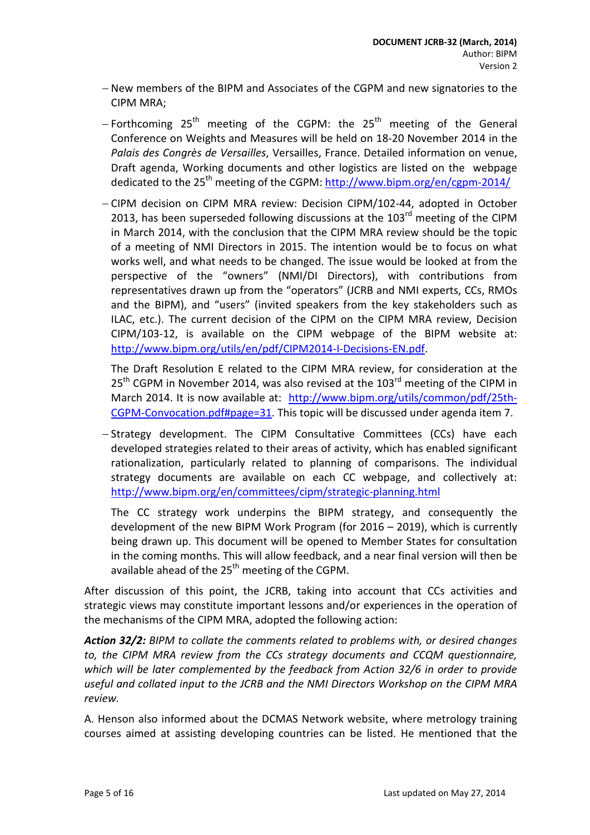- − New members of the BIPM and Associates of the CGPM and new signatories to the CIPM MRA;
- − Forthcoming 25<sup>th</sup> meeting of the CGPM: the 25<sup>th</sup> meeting of the General Conference on Weights and Measures will be held on 18-20 November 2014 in the *Palais des Congrès de Versailles*, Versailles, France. Detailed information on venue, Draft agenda, Working documents and other logistics are listed on the webpage dedicated to the  $25<sup>th</sup>$  meeting of the CGPM: http://www.bipm.org/en/cgpm-2014/
- − CIPM decision on CIPM MRA review: Decision CIPM/102-44, adopted in October 2013, has been superseded following discussions at the 103<sup>rd</sup> meeting of the CIPM in March 2014, with the conclusion that the CIPM MRA review should be the topic of a meeting of NMI Directors in 2015. The intention would be to focus on what works well, and what needs to be changed. The issue would be looked at from the perspective of the "owners" (NMI/DI Directors), with contributions from representatives drawn up from the "operators" (JCRB and NMI experts, CCs, RMOs and the BIPM), and "users" (invited speakers from the key stakeholders such as ILAC, etc.). The current decision of the CIPM on the CIPM MRA review, Decision CIPM/103-12, is available on the CIPM webpage of the BIPM website at: [http://www.bipm.org/utils/en/pdf/CIPM2014-I-Decisions-EN.pdf.](http://www.bipm.org/utils/en/pdf/CIPM2014-I-Decisions-EN.pdf)

The Draft Resolution E related to the CIPM MRA review, for consideration at the  $25<sup>th</sup>$  CGPM in November 2014, was also revised at the  $103<sup>rd</sup>$  meeting of the CIPM in March 2014. It is now available at: [http://www.bipm.org/utils/common/pdf/25th-](http://www.bipm.org/utils/common/pdf/25th-CGPM-Convocation.pdf%23page=31)[CGPM-Convocation.pdf#page=31.](http://www.bipm.org/utils/common/pdf/25th-CGPM-Convocation.pdf%23page=31) This topic will be discussed under agenda item 7.

− Strategy development. The CIPM Consultative Committees (CCs) have each developed strategies related to their areas of activity, which has enabled significant rationalization, particularly related to planning of comparisons. The individual strategy documents are available on each CC webpage, and collectively at: <http://www.bipm.org/en/committees/cipm/strategic-planning.html>

The CC strategy work underpins the BIPM strategy, and consequently the development of the new BIPM Work Program (for 2016 – 2019), which is currently being drawn up. This document will be opened to Member States for consultation in the coming months. This will allow feedback, and a near final version will then be available ahead of the  $25<sup>th</sup>$  meeting of the CGPM.

After discussion of this point, the JCRB, taking into account that CCs activities and strategic views may constitute important lessons and/or experiences in the operation of the mechanisms of the CIPM MRA, adopted the following action:

*Action 32/2: BIPM to collate the comments related to problems with, or desired changes to, the CIPM MRA review from the CCs strategy documents and CCQM questionnaire, which will be later complemented by the feedback from Action 32/6 in order to provide useful and collated input to the JCRB and the NMI Directors Workshop on the CIPM MRA review.*

A. Henson also informed about the DCMAS Network website, where metrology training courses aimed at assisting developing countries can be listed. He mentioned that the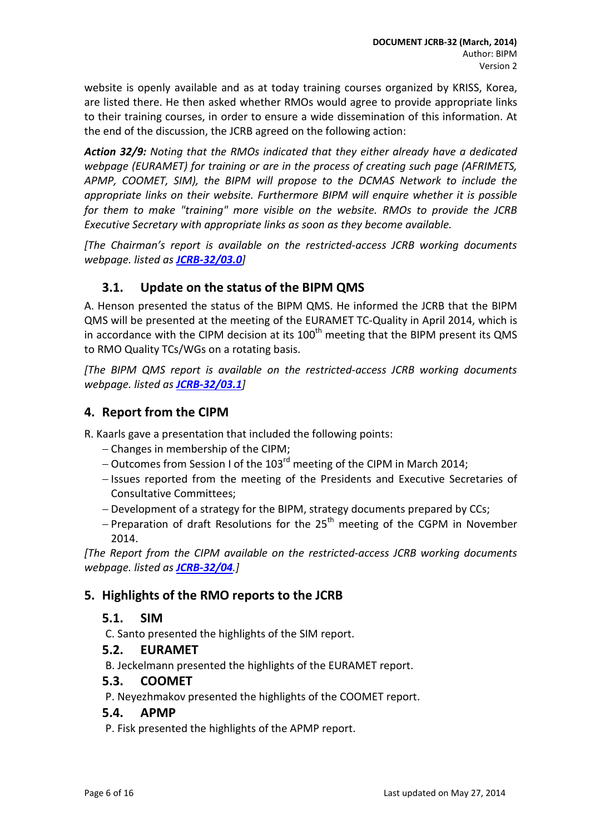website is openly available and as at today training courses organized by KRISS, Korea, are listed there. He then asked whether RMOs would agree to provide appropriate links to their training courses, in order to ensure a wide dissemination of this information. At the end of the discussion, the JCRB agreed on the following action:

*Action 32/9: Noting that the RMOs indicated that they either already have a dedicated webpage (EURAMET) for training or are in the process of creating such page (AFRIMETS, APMP, COOMET, SIM), the BIPM will propose to the DCMAS Network to include the appropriate links on their website. Furthermore BIPM will enquire whether it is possible for them to make "training" more visible on the website. RMOs to provide the JCRB Executive Secretary with appropriate links as soon as they become available.*

*[The Chairman's report is available on the restricted-access JCRB working documents webpage. listed as [JCRB-32/03.0](http://www.bipm.org/cc/JCRB/Restricted/32/32-03.0_Report_by_the_Chairman_on_progress_since_the_31st_JCRB.ppt)]*

## <span id="page-5-0"></span>**3.1. Update on the status of the BIPM QMS**

A. Henson presented the status of the BIPM QMS. He informed the JCRB that the BIPM QMS will be presented at the meeting of the EURAMET TC-Quality in April 2014, which is in accordance with the CIPM decision at its  $100<sup>th</sup>$  meeting that the BIPM present its QMS to RMO Quality TCs/WGs on a rotating basis.

*[The BIPM QMS report is available on the restricted-access JCRB working documents webpage. listed as [JCRB-32/03.1](http://www.bipm.org/cc/JCRB/Restricted/32/32-03.1_BIPM_QMS_Presentation.ppt)]*

## <span id="page-5-1"></span>**4. Report from the CIPM**

R. Kaarls gave a presentation that included the following points:

- − Changes in membership of the CIPM;
- − Outcomes from Session I of the 103rd meeting of the CIPM in March 2014;
- − Issues reported from the meeting of the Presidents and Executive Secretaries of Consultative Committees;
- − Development of a strategy for the BIPM, strategy documents prepared by CCs;
- − Preparation of draft Resolutions for the 25<sup>th</sup> meeting of the CGPM in November 2014.

*[The Report from the CIPM available on the restricted-access JCRB working documents webpage. listed as [JCRB-32/04](http://www.bipm.org/cc/JCRB/Restricted/32/JCRB_March_2014_update_BIPM_26-27_March_2014.ppt).]*

## <span id="page-5-2"></span>**5. Highlights of the RMO reports to the JCRB**

#### <span id="page-5-3"></span>**5.1. SIM**

C. Santo presented the highlights of the SIM report.

#### <span id="page-5-4"></span>**5.2. EURAMET**

B. Jeckelmann presented the highlights of the EURAMET report.

#### <span id="page-5-5"></span>**5.3. COOMET**

P. Neyezhmakov presented the highlights of the COOMET report.

#### <span id="page-5-6"></span>**5.4. APMP**

P. Fisk presented the highlights of the APMP report.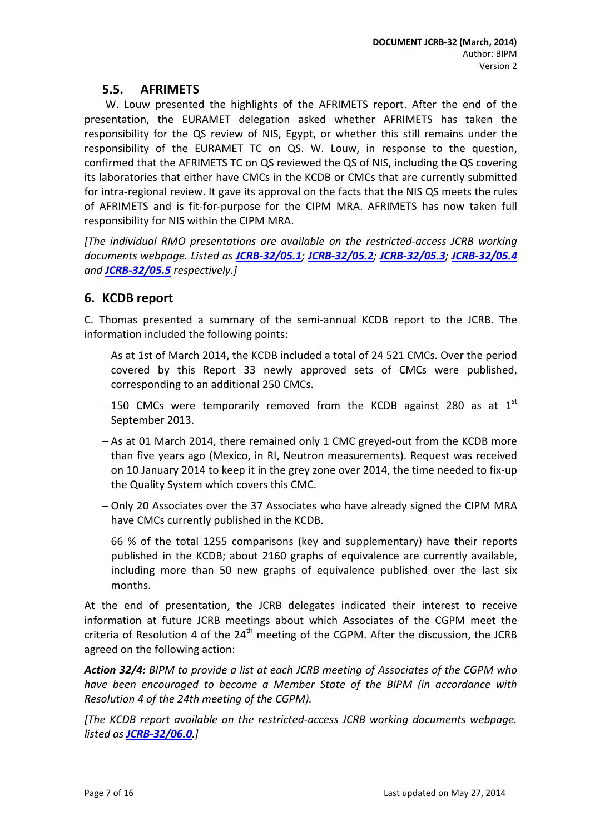## **5.5. AFRIMETS**

<span id="page-6-0"></span>W. Louw presented the highlights of the AFRIMETS report. After the end of the presentation, the EURAMET delegation asked whether AFRIMETS has taken the responsibility for the QS review of NIS, Egypt, or whether this still remains under the responsibility of the EURAMET TC on QS. W. Louw, in response to the question, confirmed that the AFRIMETS TC on QS reviewed the QS of NIS, including the QS covering its laboratories that either have CMCs in the KCDB or CMCs that are currently submitted for intra-regional review. It gave its approval on the facts that the NIS QS meets the rules of AFRIMETS and is fit-for-purpose for the CIPM MRA. AFRIMETS has now taken full responsibility for NIS within the CIPM MRA.

*[The individual RMO presentations are available on the restricted-access JCRB working documents webpage. Listed as [JCRB-32/05.1](http://www.bipm.org/cc/JCRB/Restricted/32/32-05.1_SIM-Report_32ndJCRB.docx); [JCRB-32/05.2](http://www.bipm.org/cc/JCRB/Restricted/32/32-05.2_EURAMET-Report_32ndJCRB_v040318.docx); [JCRB-32/05.3](http://www.bipm.org/cc/JCRB/Restricted/32/32-05.3_COOMET-Report_32ndJCRB.pdf); [JCRB-32/05.4](http://www.bipm.org/cc/JCRB/Restricted/32/32-05.4_APMP-Report_32ndJCRB.pdf) and [JCRB-32/05.5](http://www.bipm.org/cc/JCRB/Restricted/32/32-05.5_AFRIMETS_Report_32nd_JCRB.doc) respectively.]*

## <span id="page-6-1"></span>**6. KCDB report**

C. Thomas presented a summary of the semi-annual KCDB report to the JCRB. The information included the following points:

- − As at 1st of March 2014, the KCDB included a total of 24 521 CMCs. Over the period covered by this Report 33 newly approved sets of CMCs were published, corresponding to an additional 250 CMCs.
- $-150$  CMCs were temporarily removed from the KCDB against 280 as at 1<sup>st</sup> September 2013.
- − As at 01 March 2014, there remained only 1 CMC greyed-out from the KCDB more than five years ago (Mexico, in RI, Neutron measurements). Request was received on 10 January 2014 to keep it in the grey zone over 2014, the time needed to fix-up the Quality System which covers this CMC.
- − Only 20 Associates over the 37 Associates who have already signed the CIPM MRA have CMCs currently published in the KCDB.
- − 66 % of the total 1255 comparisons (key and supplementary) have their reports published in the KCDB; about 2160 graphs of equivalence are currently available, including more than 50 new graphs of equivalence published over the last six months.

At the end of presentation, the JCRB delegates indicated their interest to receive information at future JCRB meetings about which Associates of the CGPM meet the criteria of Resolution 4 of the  $24<sup>th</sup>$  meeting of the CGPM. After the discussion, the JCRB agreed on the following action:

*Action 32/4: BIPM to provide a list at each JCRB meeting of Associates of the CGPM who have been encouraged to become a Member State of the BIPM (in accordance with Resolution 4 of the 24th meeting of the CGPM).*

*[The KCDB report available on the restricted-access JCRB working documents webpage. listed as [JCRB-32/06.0](http://www.bipm.org/cc/JCRB/Restricted/32/32-06.0_KCDB_Report_to_32nd_JCRB.pdf).]*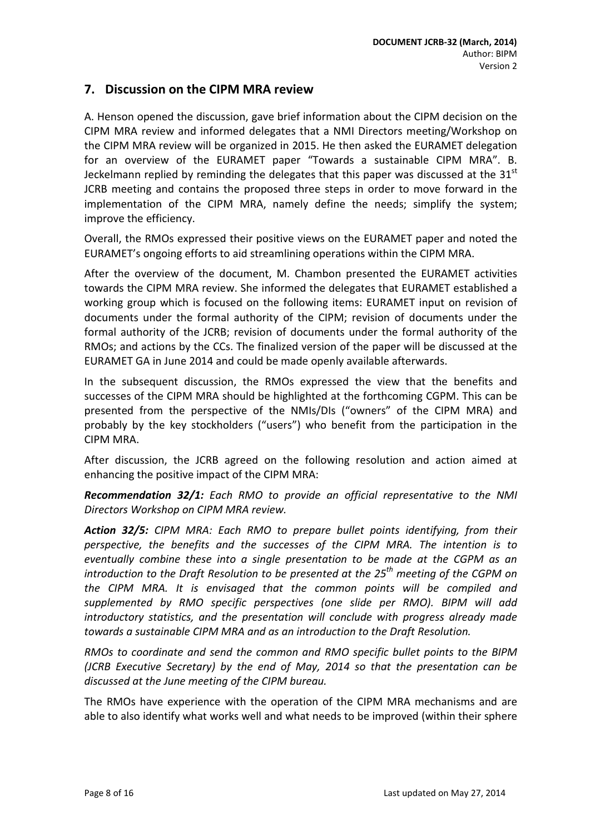#### <span id="page-7-0"></span>**7. Discussion on the CIPM MRA review**

A. Henson opened the discussion, gave brief information about the CIPM decision on the CIPM MRA review and informed delegates that a NMI Directors meeting/Workshop on the CIPM MRA review will be organized in 2015. He then asked the EURAMET delegation for an overview of the EURAMET paper "Towards a sustainable CIPM MRA". B. Jeckelmann replied by reminding the delegates that this paper was discussed at the  $31<sup>st</sup>$ JCRB meeting and contains the proposed three steps in order to move forward in the implementation of the CIPM MRA, namely define the needs; simplify the system; improve the efficiency.

Overall, the RMOs expressed their positive views on the EURAMET paper and noted the EURAMET's ongoing efforts to aid streamlining operations within the CIPM MRA.

After the overview of the document, M. Chambon presented the EURAMET activities towards the CIPM MRA review. She informed the delegates that EURAMET established a working group which is focused on the following items: EURAMET input on revision of documents under the formal authority of the CIPM; revision of documents under the formal authority of the JCRB; revision of documents under the formal authority of the RMOs; and actions by the CCs. The finalized version of the paper will be discussed at the EURAMET GA in June 2014 and could be made openly available afterwards.

In the subsequent discussion, the RMOs expressed the view that the benefits and successes of the CIPM MRA should be highlighted at the forthcoming CGPM. This can be presented from the perspective of the NMIs/DIs ("owners" of the CIPM MRA) and probably by the key stockholders ("users") who benefit from the participation in the CIPM MRA.

After discussion, the JCRB agreed on the following resolution and action aimed at enhancing the positive impact of the CIPM MRA:

*Recommendation 32/1: Each RMO to provide an official representative to the NMI Directors Workshop on CIPM MRA review.*

*Action 32/5: CIPM MRA: Each RMO to prepare bullet points identifying, from their perspective, the benefits and the successes of the CIPM MRA. The intention is to eventually combine these into a single presentation to be made at the CGPM as an introduction to the Draft Resolution to be presented at the 25th meeting of the CGPM on the CIPM MRA. It is envisaged that the common points will be compiled and supplemented by RMO specific perspectives (one slide per RMO). BIPM will add introductory statistics, and the presentation will conclude with progress already made towards a sustainable CIPM MRA and as an introduction to the Draft Resolution.*

*RMOs to coordinate and send the common and RMO specific bullet points to the BIPM (JCRB Executive Secretary) by the end of May, 2014 so that the presentation can be discussed at the June meeting of the CIPM bureau.*

The RMOs have experience with the operation of the CIPM MRA mechanisms and are able to also identify what works well and what needs to be improved (within their sphere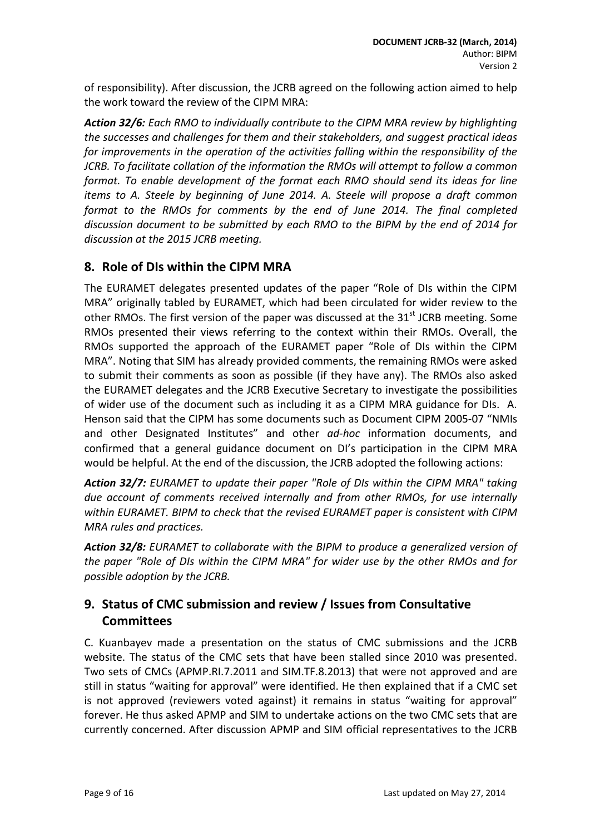of responsibility). After discussion, the JCRB agreed on the following action aimed to help the work toward the review of the CIPM MRA:

*Action 32/6: Each RMO to individually contribute to the CIPM MRA review by highlighting the successes and challenges for them and their stakeholders, and suggest practical ideas for improvements in the operation of the activities falling within the responsibility of the JCRB. To facilitate collation of the information the RMOs will attempt to follow a common format. To enable development of the format each RMO should send its ideas for line items to A. Steele by beginning of June 2014. A. Steele will propose a draft common format to the RMOs for comments by the end of June 2014. The final completed discussion document to be submitted by each RMO to the BIPM by the end of 2014 for discussion at the 2015 JCRB meeting.*

## <span id="page-8-0"></span>**8. Role of DIs within the CIPM MRA**

The EURAMET delegates presented updates of the paper "Role of DIs within the CIPM MRA" originally tabled by EURAMET, which had been circulated for wider review to the other RMOs. The first version of the paper was discussed at the  $31<sup>st</sup>$  JCRB meeting. Some RMOs presented their views referring to the context within their RMOs. Overall, the RMOs supported the approach of the EURAMET paper "Role of DIs within the CIPM MRA". Noting that SIM has already provided comments, the remaining RMOs were asked to submit their comments as soon as possible (if they have any). The RMOs also asked the EURAMET delegates and the JCRB Executive Secretary to investigate the possibilities of wider use of the document such as including it as a CIPM MRA guidance for DIs. A. Henson said that the CIPM has some documents such as Document CIPM 2005-07 "NMIs and other Designated Institutes" and other *ad-hoc* information documents, and confirmed that a general guidance document on DI's participation in the CIPM MRA would be helpful. At the end of the discussion, the JCRB adopted the following actions:

*Action 32/7: EURAMET to update their paper "Role of DIs within the CIPM MRA" taking due account of comments received internally and from other RMOs, for use internally within EURAMET. BIPM to check that the revised EURAMET paper is consistent with CIPM MRA rules and practices.*

*Action 32/8: EURAMET to collaborate with the BIPM to produce a generalized version of the paper "Role of DIs within the CIPM MRA" for wider use by the other RMOs and for possible adoption by the JCRB.*

## <span id="page-8-1"></span>**9. Status of CMC submission and review / Issues from Consultative Committees**

C. Kuanbayev made a presentation on the status of CMC submissions and the JCRB website. The status of the CMC sets that have been stalled since 2010 was presented. Two sets of CMCs (APMP.RI.7.2011 and SIM.TF.8.2013) that were not approved and are still in status "waiting for approval" were identified. He then explained that if a CMC set is not approved (reviewers voted against) it remains in status "waiting for approval" forever. He thus asked APMP and SIM to undertake actions on the two CMC sets that are currently concerned. After discussion APMP and SIM official representatives to the JCRB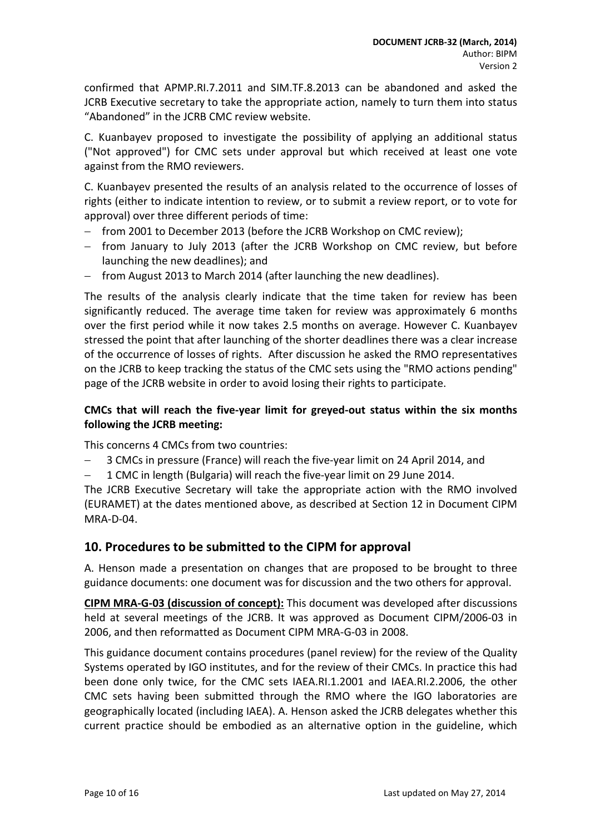confirmed that APMP.RI.7.2011 and SIM.TF.8.2013 can be abandoned and asked the JCRB Executive secretary to take the appropriate action, namely to turn them into status "Abandoned" in the JCRB CMC review website.

C. Kuanbayev proposed to investigate the possibility of applying an additional status ("Not approved") for CMC sets under approval but which received at least one vote against from the RMO reviewers.

C. Kuanbayev presented the results of an analysis related to the occurrence of losses of rights (either to indicate intention to review, or to submit a review report, or to vote for approval) over three different periods of time:

- − from 2001 to December 2013 (before the JCRB Workshop on CMC review);
- − from January to July 2013 (after the JCRB Workshop on CMC review, but before launching the new deadlines); and
- from August 2013 to March 2014 (after launching the new deadlines).

The results of the analysis clearly indicate that the time taken for review has been significantly reduced. The average time taken for review was approximately 6 months over the first period while it now takes 2.5 months on average. However C. Kuanbayev stressed the point that after launching of the shorter deadlines there was a clear increase of the occurrence of losses of rights. After discussion he asked the RMO representatives on the JCRB to keep tracking the status of the CMC sets using the "RMO actions pending" page of the JCRB website in order to avoid losing their rights to participate.

#### **CMCs that will reach the five-year limit for greyed-out status within the six months following the JCRB meeting:**

This concerns 4 CMCs from two countries:

- 3 CMCs in pressure (France) will reach the five-year limit on 24 April 2014, and
- − 1 CMC in length (Bulgaria) will reach the five-year limit on 29 June 2014.

The JCRB Executive Secretary will take the appropriate action with the RMO involved (EURAMET) at the dates mentioned above, as described at Section 12 in Document CIPM MRA-D-04.

### <span id="page-9-0"></span>**10. Procedures to be submitted to the CIPM for approval**

A. Henson made a presentation on changes that are proposed to be brought to three guidance documents: one document was for discussion and the two others for approval.

**CIPM MRA-G-03 (discussion of concept):** This document was developed after discussions held at several meetings of the JCRB. It was approved as Document CIPM/2006-03 in 2006, and then reformatted as Document CIPM MRA-G-03 in 2008.

This guidance document contains procedures (panel review) for the review of the Quality Systems operated by IGO institutes, and for the review of their CMCs. In practice this had been done only twice, for the CMC sets IAEA.RI.1.2001 and IAEA.RI.2.2006, the other CMC sets having been submitted through the RMO where the IGO laboratories are geographically located (including IAEA). A. Henson asked the JCRB delegates whether this current practice should be embodied as an alternative option in the guideline, which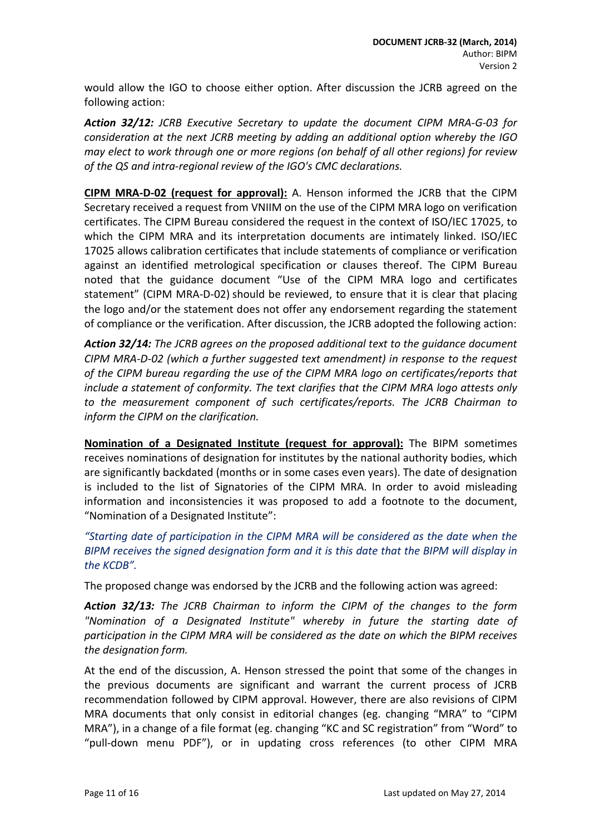would allow the IGO to choose either option. After discussion the JCRB agreed on the following action:

*Action 32/12: JCRB Executive Secretary to update the document CIPM MRA-G-03 for consideration at the next JCRB meeting by adding an additional option whereby the IGO may elect to work through one or more regions (on behalf of all other regions) for review of the QS and intra-regional review of the IGO's CMC declarations.*

**CIPM MRA-D-02 (request for approval):** A. Henson informed the JCRB that the CIPM Secretary received a request from VNIIM on the use of the CIPM MRA logo on verification certificates. The CIPM Bureau considered the request in the context of ISO/IEC 17025, to which the CIPM MRA and its interpretation documents are intimately linked. ISO/IEC 17025 allows calibration certificates that include statements of compliance or verification against an identified metrological specification or clauses thereof. The CIPM Bureau noted that the guidance document "Use of the CIPM MRA logo and certificates statement" (CIPM MRA-D-02) should be reviewed, to ensure that it is clear that placing the logo and/or the statement does not offer any endorsement regarding the statement of compliance or the verification. After discussion, the JCRB adopted the following action:

*Action 32/14: The JCRB agrees on the proposed additional text to the guidance document CIPM MRA-D-02 (which a further suggested text amendment) in response to the request of the CIPM bureau regarding the use of the CIPM MRA logo on certificates/reports that include a statement of conformity. The text clarifies that the CIPM MRA logo attests only to the measurement component of such certificates/reports. The JCRB Chairman to inform the CIPM on the clarification.*

**Nomination of a Designated Institute (request for approval):** The BIPM sometimes receives nominations of designation for institutes by the national authority bodies, which are significantly backdated (months or in some cases even years). The date of designation is included to the list of Signatories of the CIPM MRA. In order to avoid misleading information and inconsistencies it was proposed to add a footnote to the document, "Nomination of a Designated Institute":

*"Starting date of participation in the CIPM MRA will be considered as the date when the BIPM receives the signed designation form and it is this date that the BIPM will display in the KCDB".*

The proposed change was endorsed by the JCRB and the following action was agreed:

*Action 32/13: The JCRB Chairman to inform the CIPM of the changes to the form "Nomination of a Designated Institute" whereby in future the starting date of participation in the CIPM MRA will be considered as the date on which the BIPM receives the designation form.*

At the end of the discussion, A. Henson stressed the point that some of the changes in the previous documents are significant and warrant the current process of JCRB recommendation followed by CIPM approval. However, there are also revisions of CIPM MRA documents that only consist in editorial changes (eg. changing "MRA" to "CIPM MRA"), in a change of a file format (eg. changing "KC and SC registration" from "Word" to "pull-down menu PDF"), or in updating cross references (to other CIPM MRA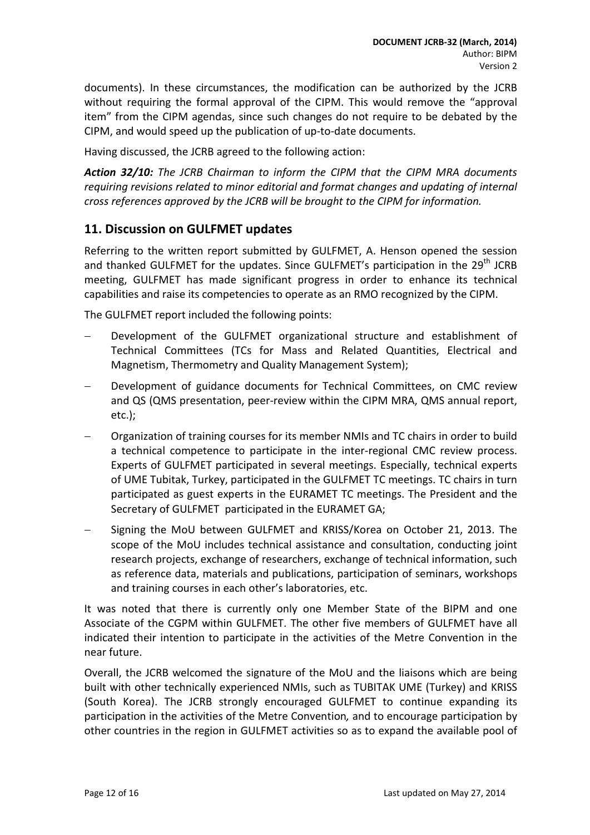documents). In these circumstances, the modification can be authorized by the JCRB without requiring the formal approval of the CIPM. This would remove the "approval item" from the CIPM agendas, since such changes do not require to be debated by the CIPM, and would speed up the publication of up-to-date documents.

Having discussed, the JCRB agreed to the following action:

*Action 32/10: The JCRB Chairman to inform the CIPM that the CIPM MRA documents requiring revisions related to minor editorial and format changes and updating of internal cross references approved by the JCRB will be brought to the CIPM for information.*

#### <span id="page-11-0"></span>**11. Discussion on GULFMET updates**

Referring to the written report submitted by GULFMET, A. Henson opened the session and thanked GULFMET for the updates. Since GULFMET's participation in the  $29<sup>th</sup>$  JCRB meeting, GULFMET has made significant progress in order to enhance its technical capabilities and raise its competencies to operate as an RMO recognized by the CIPM.

The GULFMET report included the following points:

- Development of the GULFMET organizational structure and establishment of Technical Committees (TCs for Mass and Related Quantities, Electrical and Magnetism, Thermometry and Quality Management System);
- Development of guidance documents for Technical Committees, on CMC review and QS (QMS presentation, peer-review within the CIPM MRA, QMS annual report, etc.);
- − Organization of training courses for its member NMIs and TC chairs in order to build a technical competence to participate in the inter-regional CMC review process. Experts of GULFMET participated in several meetings. Especially, technical experts of UME Tubitak, Turkey, participated in the GULFMET TC meetings. TC chairs in turn participated as guest experts in the EURAMET TC meetings. The President and the Secretary of GULFMET participated in the EURAMET GA;
- − Signing the MoU between GULFMET and KRISS/Korea on October 21, 2013. The scope of the MoU includes technical assistance and consultation, conducting joint research projects, exchange of researchers, exchange of technical information, such as reference data, materials and publications, participation of seminars, workshops and training courses in each other's laboratories, etc.

It was noted that there is currently only one Member State of the BIPM and one Associate of the CGPM within GULFMET. The other five members of GULFMET have all indicated their intention to participate in the activities of the Metre Convention in the near future.

Overall, the JCRB welcomed the signature of the MoU and the liaisons which are being built with other technically experienced NMIs, such as TUBITAK UME (Turkey) and KRISS (South Korea). The JCRB strongly encouraged GULFMET to continue expanding its participation in the activities of the Metre Convention*,* and to encourage participation by other countries in the region in GULFMET activities so as to expand the available pool of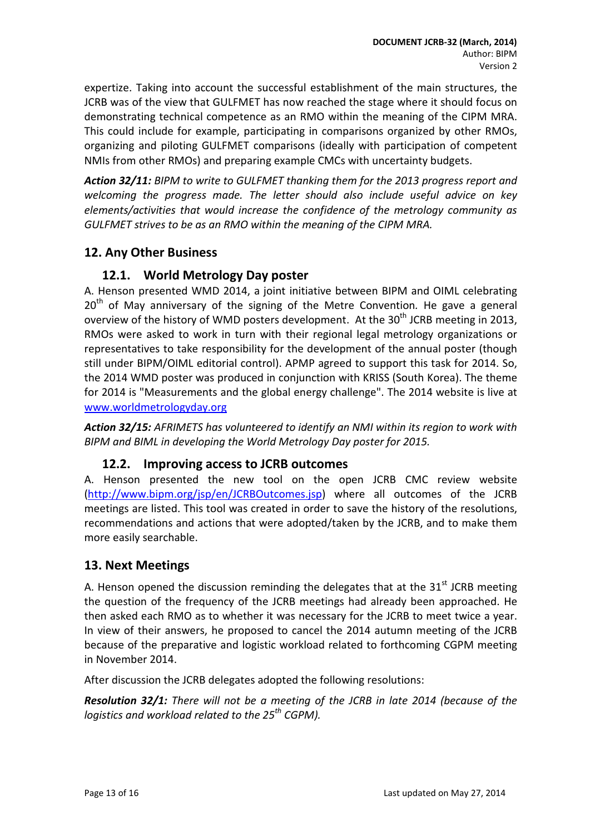expertize. Taking into account the successful establishment of the main structures, the JCRB was of the view that GULFMET has now reached the stage where it should focus on demonstrating technical competence as an RMO within the meaning of the CIPM MRA. This could include for example, participating in comparisons organized by other RMOs, organizing and piloting GULFMET comparisons (ideally with participation of competent NMIs from other RMOs) and preparing example CMCs with uncertainty budgets.

*Action 32/11: BIPM to write to GULFMET thanking them for the 2013 progress report and welcoming the progress made. The letter should also include useful advice on key elements/activities that would increase the confidence of the metrology community as GULFMET strives to be as an RMO within the meaning of the CIPM MRA.*

## <span id="page-12-0"></span>**12. Any Other Business**

#### <span id="page-12-1"></span>**12.1. World Metrology Day poster**

A. Henson presented WMD 2014, a joint initiative between BIPM and OIML celebrating 20<sup>th</sup> of May anniversary of the signing of the Metre Convention. He gave a general overview of the history of WMD posters development. At the  $30<sup>th</sup>$  JCRB meeting in 2013, RMOs were asked to work in turn with their regional legal metrology organizations or representatives to take responsibility for the development of the annual poster (though still under BIPM/OIML editorial control). APMP agreed to support this task for 2014. So, the 2014 WMD poster was produced in conjunction with KRISS (South Korea). The theme for 2014 is "Measurements and the global energy challenge". The 2014 website is live at [www.worldmetrologyday.org](http://www.worldmetrologyday.org/)

*Action 32/15: AFRIMETS has volunteered to identify an NMI within its region to work with BIPM and BIML in developing the World Metrology Day poster for 2015.*

#### <span id="page-12-2"></span>**12.2. Improving access to JCRB outcomes**

A. Henson presented the new tool on the open JCRB CMC review website [\(http://www.bipm.org/jsp/en/JCRBOutcomes.jsp\)](http://www.bipm.org/jsp/en/JCRBOutcomes.jsp) where all outcomes of the JCRB meetings are listed. This tool was created in order to save the history of the resolutions, recommendations and actions that were adopted/taken by the JCRB, and to make them more easily searchable.

### <span id="page-12-3"></span>**13. Next Meetings**

A. Henson opened the discussion reminding the delegates that at the  $31<sup>st</sup>$  JCRB meeting the question of the frequency of the JCRB meetings had already been approached. He then asked each RMO as to whether it was necessary for the JCRB to meet twice a year. In view of their answers, he proposed to cancel the 2014 autumn meeting of the JCRB because of the preparative and logistic workload related to forthcoming CGPM meeting in November 2014.

After discussion the JCRB delegates adopted the following resolutions:

*Resolution 32/1: There will not be a meeting of the JCRB in late 2014 (because of the logistics and workload related to the 25th CGPM).*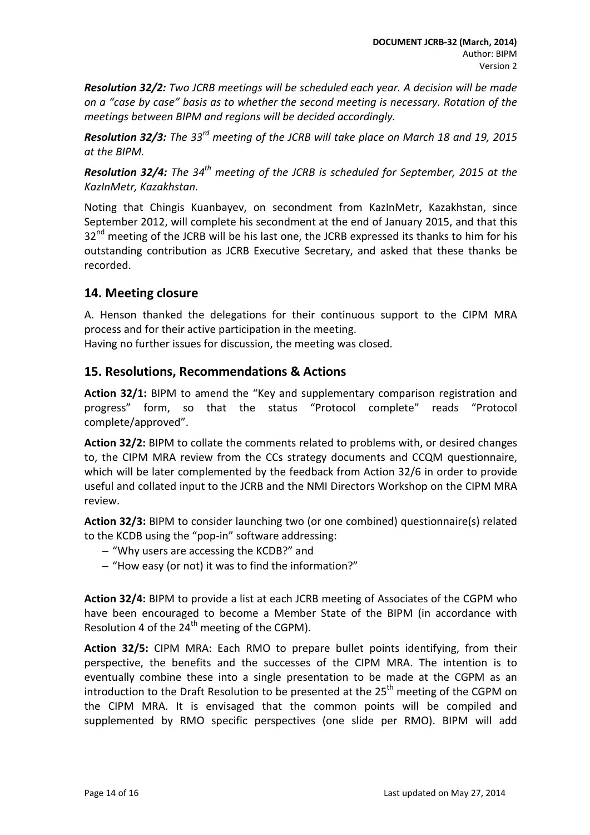*Resolution 32/2: Two JCRB meetings will be scheduled each year. A decision will be made on a "case by case" basis as to whether the second meeting is necessary. Rotation of the meetings between BIPM and regions will be decided accordingly.* 

*Resolution 32/3: The 33rd meeting of the JCRB will take place on March 18 and 19, 2015 at the BIPM.* 

*Resolution 32/4: The 34th meeting of the JCRB is scheduled for September, 2015 at the KazInMetr, Kazakhstan.* 

Noting that Chingis Kuanbayev, on secondment from KazInMetr, Kazakhstan, since September 2012, will complete his secondment at the end of January 2015, and that this  $32<sup>nd</sup>$  meeting of the JCRB will be his last one, the JCRB expressed its thanks to him for his outstanding contribution as JCRB Executive Secretary, and asked that these thanks be recorded.

## <span id="page-13-0"></span>**14. Meeting closure**

A. Henson thanked the delegations for their continuous support to the CIPM MRA process and for their active participation in the meeting.

<span id="page-13-1"></span>Having no further issues for discussion, the meeting was closed.

#### **15. Resolutions, Recommendations & Actions**

**Action 32/1:** BIPM to amend the "Key and supplementary comparison registration and progress" form, so that the status "Protocol complete" reads "Protocol complete/approved".

**Action 32/2:** BIPM to collate the comments related to problems with, or desired changes to, the CIPM MRA review from the CCs strategy documents and CCQM questionnaire, which will be later complemented by the feedback from Action 32/6 in order to provide useful and collated input to the JCRB and the NMI Directors Workshop on the CIPM MRA review.

**Action 32/3:** BIPM to consider launching two (or one combined) questionnaire(s) related to the KCDB using the "pop-in" software addressing:

- − "Why users are accessing the KCDB?" and
- − "How easy (or not) it was to find the information?"

**Action 32/4:** BIPM to provide a list at each JCRB meeting of Associates of the CGPM who have been encouraged to become a Member State of the BIPM (in accordance with Resolution 4 of the  $24<sup>th</sup>$  meeting of the CGPM).

**Action 32/5:** CIPM MRA: Each RMO to prepare bullet points identifying, from their perspective, the benefits and the successes of the CIPM MRA. The intention is to eventually combine these into a single presentation to be made at the CGPM as an introduction to the Draft Resolution to be presented at the  $25<sup>th</sup>$  meeting of the CGPM on the CIPM MRA. It is envisaged that the common points will be compiled and supplemented by RMO specific perspectives (one slide per RMO). BIPM will add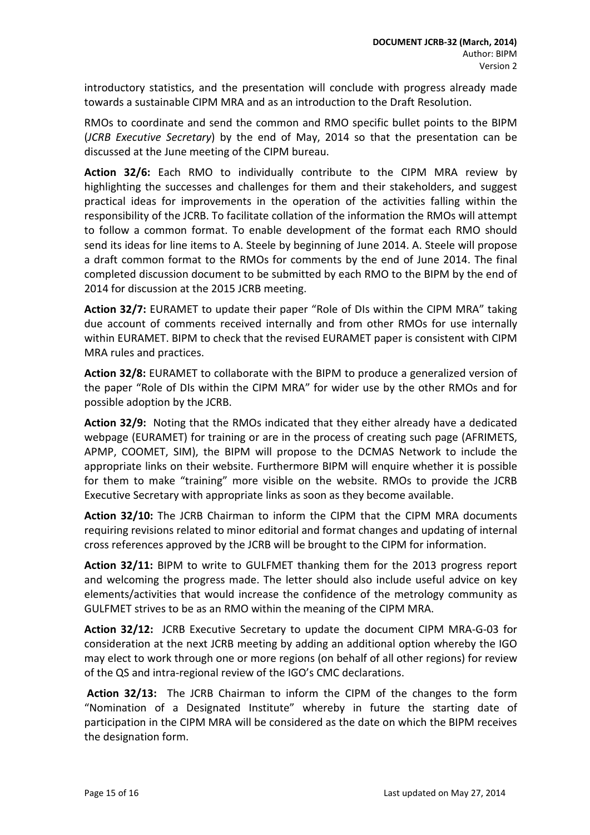introductory statistics, and the presentation will conclude with progress already made towards a sustainable CIPM MRA and as an introduction to the Draft Resolution.

RMOs to coordinate and send the common and RMO specific bullet points to the BIPM (*JCRB Executive Secretary*) by the end of May, 2014 so that the presentation can be discussed at the June meeting of the CIPM bureau.

**Action 32/6:** Each RMO to individually contribute to the CIPM MRA review by highlighting the successes and challenges for them and their stakeholders, and suggest practical ideas for improvements in the operation of the activities falling within the responsibility of the JCRB. To facilitate collation of the information the RMOs will attempt to follow a common format. To enable development of the format each RMO should send its ideas for line items to A. Steele by beginning of June 2014. A. Steele will propose a draft common format to the RMOs for comments by the end of June 2014. The final completed discussion document to be submitted by each RMO to the BIPM by the end of 2014 for discussion at the 2015 JCRB meeting.

**Action 32/7:** EURAMET to update their paper "Role of DIs within the CIPM MRA" taking due account of comments received internally and from other RMOs for use internally within EURAMET. BIPM to check that the revised EURAMET paper is consistent with CIPM MRA rules and practices.

**Action 32/8:** EURAMET to collaborate with the BIPM to produce a generalized version of the paper "Role of DIs within the CIPM MRA" for wider use by the other RMOs and for possible adoption by the JCRB.

**Action 32/9:** Noting that the RMOs indicated that they either already have a dedicated webpage (EURAMET) for training or are in the process of creating such page (AFRIMETS, APMP, COOMET, SIM), the BIPM will propose to the DCMAS Network to include the appropriate links on their website. Furthermore BIPM will enquire whether it is possible for them to make "training" more visible on the website. RMOs to provide the JCRB Executive Secretary with appropriate links as soon as they become available.

**Action 32/10:** The JCRB Chairman to inform the CIPM that the CIPM MRA documents requiring revisions related to minor editorial and format changes and updating of internal cross references approved by the JCRB will be brought to the CIPM for information.

**Action 32/11:** BIPM to write to GULFMET thanking them for the 2013 progress report and welcoming the progress made. The letter should also include useful advice on key elements/activities that would increase the confidence of the metrology community as GULFMET strives to be as an RMO within the meaning of the CIPM MRA.

**Action 32/12:** JCRB Executive Secretary to update the document CIPM MRA-G-03 for consideration at the next JCRB meeting by adding an additional option whereby the IGO may elect to work through one or more regions (on behalf of all other regions) for review of the QS and intra-regional review of the IGO's CMC declarations.

**Action 32/13:** The JCRB Chairman to inform the CIPM of the changes to the form "Nomination of a Designated Institute" whereby in future the starting date of participation in the CIPM MRA will be considered as the date on which the BIPM receives the designation form.